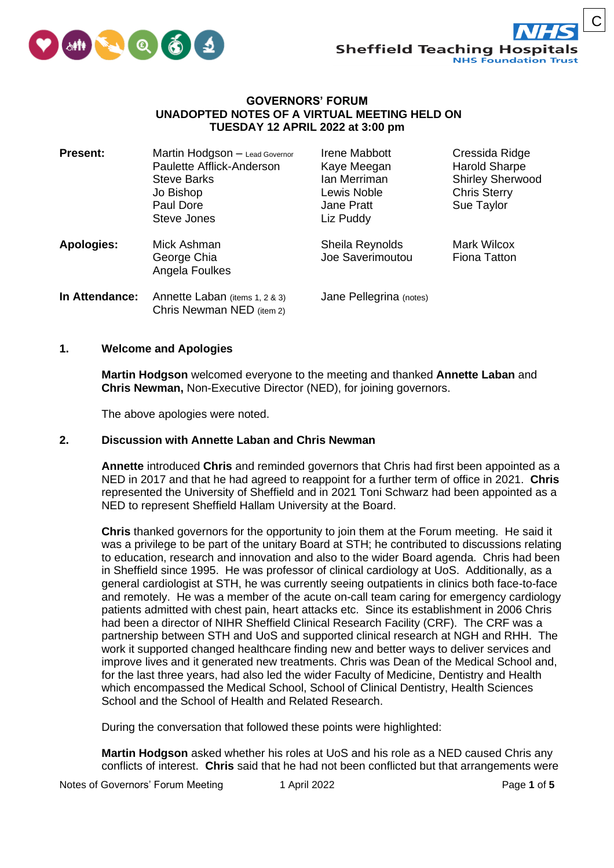

C

## **GOVERNORS' FORUM UNADOPTED NOTES OF A VIRTUAL MEETING HELD ON TUESDAY 12 APRIL 2022 at 3:00 pm**

| <b>Present:</b>   | Martin Hodgson - Lead Governor<br>Paulette Afflick-Anderson<br><b>Steve Barks</b><br>Jo Bishop<br>Paul Dore<br>Steve Jones | Irene Mabbott<br>Kaye Meegan<br>lan Merriman<br>Lewis Noble<br><b>Jane Pratt</b><br>Liz Puddy | Cressida Ridge<br><b>Harold Sharpe</b><br><b>Shirley Sherwood</b><br><b>Chris Sterry</b><br>Sue Taylor |
|-------------------|----------------------------------------------------------------------------------------------------------------------------|-----------------------------------------------------------------------------------------------|--------------------------------------------------------------------------------------------------------|
| <b>Apologies:</b> | Mick Ashman<br>George Chia<br>Angela Foulkes                                                                               | Sheila Reynolds<br>Joe Saverimoutou                                                           | <b>Mark Wilcox</b><br><b>Fiona Tatton</b>                                                              |
| In Attendance:    | Annette Laban (items 1, 2 & 3)<br>Chris Newman NED (item 2)                                                                | Jane Pellegrina (notes)                                                                       |                                                                                                        |

## **1. Welcome and Apologies**

**Martin Hodgson** welcomed everyone to the meeting and thanked **Annette Laban** and **Chris Newman,** Non-Executive Director (NED), for joining governors.

The above apologies were noted.

#### **2. Discussion with Annette Laban and Chris Newman**

**Annette** introduced **Chris** and reminded governors that Chris had first been appointed as a NED in 2017 and that he had agreed to reappoint for a further term of office in 2021. **Chris** represented the University of Sheffield and in 2021 Toni Schwarz had been appointed as a NED to represent Sheffield Hallam University at the Board.

**Chris** thanked governors for the opportunity to join them at the Forum meeting. He said it was a privilege to be part of the unitary Board at STH; he contributed to discussions relating to education, research and innovation and also to the wider Board agenda. Chris had been in Sheffield since 1995. He was professor of clinical cardiology at UoS. Additionally, as a general cardiologist at STH, he was currently seeing outpatients in clinics both face-to-face and remotely. He was a member of the acute on-call team caring for emergency cardiology patients admitted with chest pain, heart attacks etc. Since its establishment in 2006 Chris had been a director of NIHR Sheffield Clinical Research Facility (CRF). The CRF was a partnership between STH and UoS and supported clinical research at NGH and RHH. The work it supported changed healthcare finding new and better ways to deliver services and improve lives and it generated new treatments. Chris was Dean of the Medical School and, for the last three years, had also led the wider Faculty of Medicine, Dentistry and Health which encompassed the Medical School, School of Clinical Dentistry, Health Sciences School and the School of Health and Related Research.

During the conversation that followed these points were highlighted:

**Martin Hodgson** asked whether his roles at UoS and his role as a NED caused Chris any conflicts of interest. **Chris** said that he had not been conflicted but that arrangements were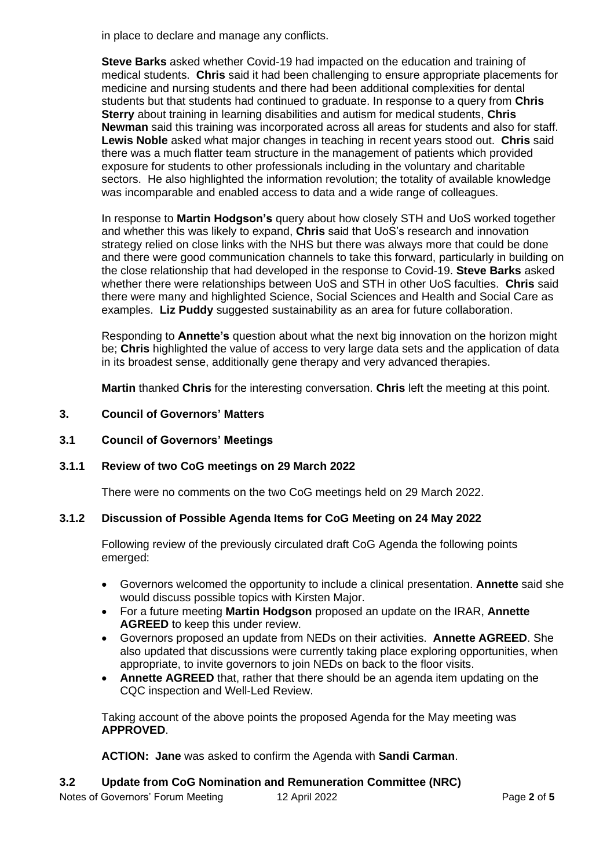in place to declare and manage any conflicts.

**Steve Barks** asked whether Covid-19 had impacted on the education and training of medical students. **Chris** said it had been challenging to ensure appropriate placements for medicine and nursing students and there had been additional complexities for dental students but that students had continued to graduate. In response to a query from **Chris Sterry** about training in learning disabilities and autism for medical students, **Chris Newman** said this training was incorporated across all areas for students and also for staff. **Lewis Noble** asked what major changes in teaching in recent years stood out. **Chris** said there was a much flatter team structure in the management of patients which provided exposure for students to other professionals including in the voluntary and charitable sectors. He also highlighted the information revolution; the totality of available knowledge was incomparable and enabled access to data and a wide range of colleagues.

In response to **Martin Hodgson's** query about how closely STH and UoS worked together and whether this was likely to expand, **Chris** said that UoS's research and innovation strategy relied on close links with the NHS but there was always more that could be done and there were good communication channels to take this forward, particularly in building on the close relationship that had developed in the response to Covid-19. **Steve Barks** asked whether there were relationships between UoS and STH in other UoS faculties. **Chris** said there were many and highlighted Science, Social Sciences and Health and Social Care as examples. **Liz Puddy** suggested sustainability as an area for future collaboration.

Responding to **Annette's** question about what the next big innovation on the horizon might be; **Chris** highlighted the value of access to very large data sets and the application of data in its broadest sense, additionally gene therapy and very advanced therapies.

**Martin** thanked **Chris** for the interesting conversation. **Chris** left the meeting at this point.

- **3. Council of Governors' Matters**
- **3.1 Council of Governors' Meetings**

## **3.1.1 Review of two CoG meetings on 29 March 2022**

There were no comments on the two CoG meetings held on 29 March 2022.

## **3.1.2 Discussion of Possible Agenda Items for CoG Meeting on 24 May 2022**

Following review of the previously circulated draft CoG Agenda the following points emerged:

- Governors welcomed the opportunity to include a clinical presentation. **Annette** said she would discuss possible topics with Kirsten Major.
- For a future meeting **Martin Hodgson** proposed an update on the IRAR, **Annette AGREED** to keep this under review.
- Governors proposed an update from NEDs on their activities. **Annette AGREED**. She also updated that discussions were currently taking place exploring opportunities, when appropriate, to invite governors to join NEDs on back to the floor visits.
- **Annette AGREED** that, rather that there should be an agenda item updating on the CQC inspection and Well-Led Review.

Taking account of the above points the proposed Agenda for the May meeting was **APPROVED**.

**ACTION: Jane** was asked to confirm the Agenda with **Sandi Carman**.

## **3.2 Update from CoG Nomination and Remuneration Committee (NRC)**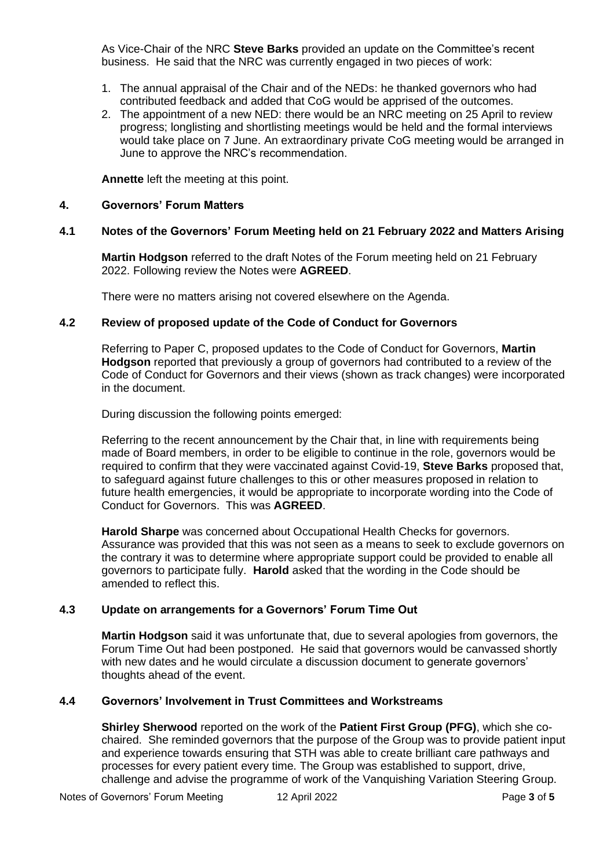As Vice-Chair of the NRC **Steve Barks** provided an update on the Committee's recent business. He said that the NRC was currently engaged in two pieces of work:

- 1. The annual appraisal of the Chair and of the NEDs: he thanked governors who had contributed feedback and added that CoG would be apprised of the outcomes.
- 2. The appointment of a new NED: there would be an NRC meeting on 25 April to review progress; longlisting and shortlisting meetings would be held and the formal interviews would take place on 7 June. An extraordinary private CoG meeting would be arranged in June to approve the NRC's recommendation.

**Annette** left the meeting at this point.

#### **4. Governors' Forum Matters**

#### **4.1 Notes of the Governors' Forum Meeting held on 21 February 2022 and Matters Arising**

**Martin Hodgson** referred to the draft Notes of the Forum meeting held on 21 February 2022. Following review the Notes were **AGREED**.

There were no matters arising not covered elsewhere on the Agenda.

## **4.2 Review of proposed update of the Code of Conduct for Governors**

Referring to Paper C, proposed updates to the Code of Conduct for Governors, **Martin Hodgson** reported that previously a group of governors had contributed to a review of the Code of Conduct for Governors and their views (shown as track changes) were incorporated in the document.

During discussion the following points emerged:

Referring to the recent announcement by the Chair that, in line with requirements being made of Board members, in order to be eligible to continue in the role, governors would be required to confirm that they were vaccinated against Covid-19, **Steve Barks** proposed that, to safeguard against future challenges to this or other measures proposed in relation to future health emergencies, it would be appropriate to incorporate wording into the Code of Conduct for Governors. This was **AGREED**.

**Harold Sharpe** was concerned about Occupational Health Checks for governors. Assurance was provided that this was not seen as a means to seek to exclude governors on the contrary it was to determine where appropriate support could be provided to enable all governors to participate fully. **Harold** asked that the wording in the Code should be amended to reflect this.

#### **4.3 Update on arrangements for a Governors' Forum Time Out**

**Martin Hodgson** said it was unfortunate that, due to several apologies from governors, the Forum Time Out had been postponed. He said that governors would be canvassed shortly with new dates and he would circulate a discussion document to generate governors' thoughts ahead of the event.

# **4.4 Governors' Involvement in Trust Committees and Workstreams**

**Shirley Sherwood** reported on the work of the **Patient First Group (PFG)**, which she cochaired. She reminded governors that the purpose of the Group was to provide patient input and experience towards ensuring that STH was able to create brilliant care pathways and processes for every patient every time. The Group was established to support, drive, challenge and advise the programme of work of the Vanquishing Variation Steering Group.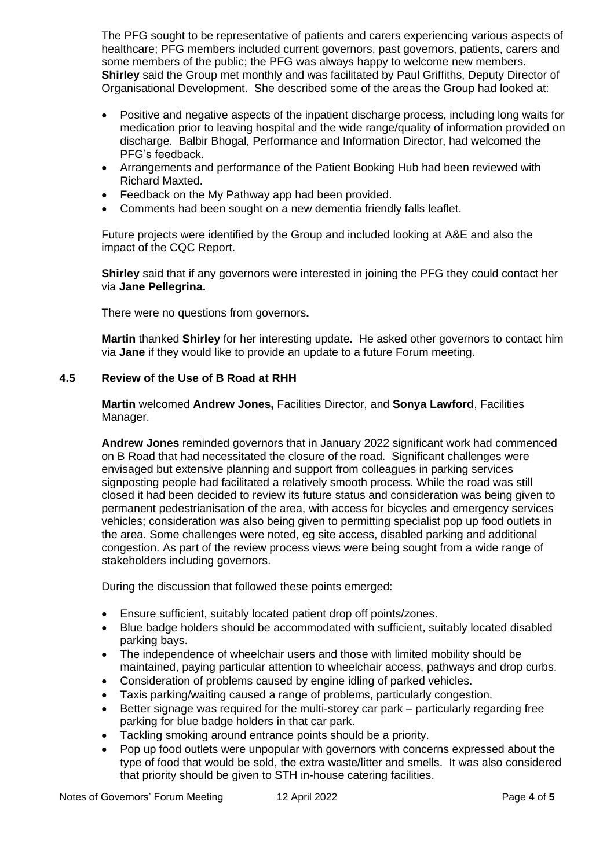The PFG sought to be representative of patients and carers experiencing various aspects of healthcare; PFG members included current governors, past governors, patients, carers and some members of the public; the PFG was always happy to welcome new members. **Shirley** said the Group met monthly and was facilitated by Paul Griffiths, Deputy Director of Organisational Development. She described some of the areas the Group had looked at:

- Positive and negative aspects of the inpatient discharge process, including long waits for medication prior to leaving hospital and the wide range/quality of information provided on discharge. Balbir Bhogal, Performance and Information Director, had welcomed the PFG's feedback.
- Arrangements and performance of the Patient Booking Hub had been reviewed with Richard Maxted.
- Feedback on the My Pathway app had been provided.
- Comments had been sought on a new dementia friendly falls leaflet.

Future projects were identified by the Group and included looking at A&E and also the impact of the CQC Report.

**Shirley** said that if any governors were interested in joining the PFG they could contact her via **Jane Pellegrina.**

There were no questions from governors**.**

**Martin** thanked **Shirley** for her interesting update. He asked other governors to contact him via **Jane** if they would like to provide an update to a future Forum meeting.

# **4.5 Review of the Use of B Road at RHH**

**Martin** welcomed **Andrew Jones,** Facilities Director, and **Sonya Lawford**, Facilities Manager.

**Andrew Jones** reminded governors that in January 2022 significant work had commenced on B Road that had necessitated the closure of the road. Significant challenges were envisaged but extensive planning and support from colleagues in parking services signposting people had facilitated a relatively smooth process. While the road was still closed it had been decided to review its future status and consideration was being given to permanent pedestrianisation of the area, with access for bicycles and emergency services vehicles; consideration was also being given to permitting specialist pop up food outlets in the area. Some challenges were noted, eg site access, disabled parking and additional congestion. As part of the review process views were being sought from a wide range of stakeholders including governors.

During the discussion that followed these points emerged:

- Ensure sufficient, suitably located patient drop off points/zones.
- Blue badge holders should be accommodated with sufficient, suitably located disabled parking bays.
- The independence of wheelchair users and those with limited mobility should be maintained, paying particular attention to wheelchair access, pathways and drop curbs.
- Consideration of problems caused by engine idling of parked vehicles.
- Taxis parking/waiting caused a range of problems, particularly congestion.
- Better signage was required for the multi-storey car park particularly regarding free parking for blue badge holders in that car park.
- Tackling smoking around entrance points should be a priority.
- Pop up food outlets were unpopular with governors with concerns expressed about the type of food that would be sold, the extra waste/litter and smells. It was also considered that priority should be given to STH in-house catering facilities.